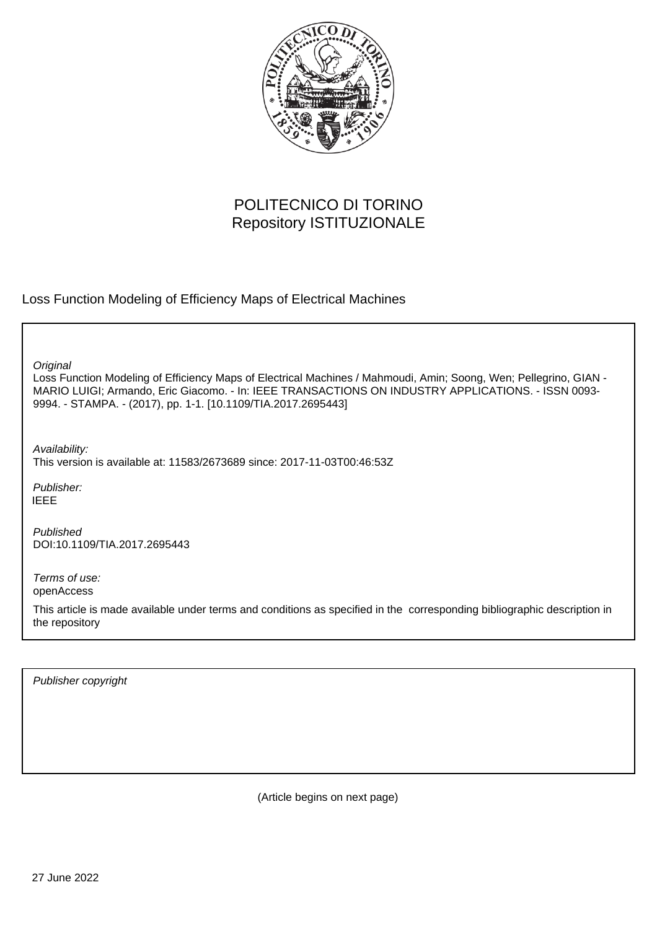

# POLITECNICO DI TORINO Repository ISTITUZIONALE

Loss Function Modeling of Efficiency Maps of Electrical Machines

**Original** 

Loss Function Modeling of Efficiency Maps of Electrical Machines / Mahmoudi, Amin; Soong, Wen; Pellegrino, GIAN - MARIO LUIGI; Armando, Eric Giacomo. - In: IEEE TRANSACTIONS ON INDUSTRY APPLICATIONS. - ISSN 0093- 9994. - STAMPA. - (2017), pp. 1-1. [10.1109/TIA.2017.2695443]

Availability:

This version is available at: 11583/2673689 since: 2017-11-03T00:46:53Z

Publisher: IEEE

Published DOI:10.1109/TIA.2017.2695443

Terms of use: openAccess

This article is made available under terms and conditions as specified in the corresponding bibliographic description in the repository

Publisher copyright

(Article begins on next page)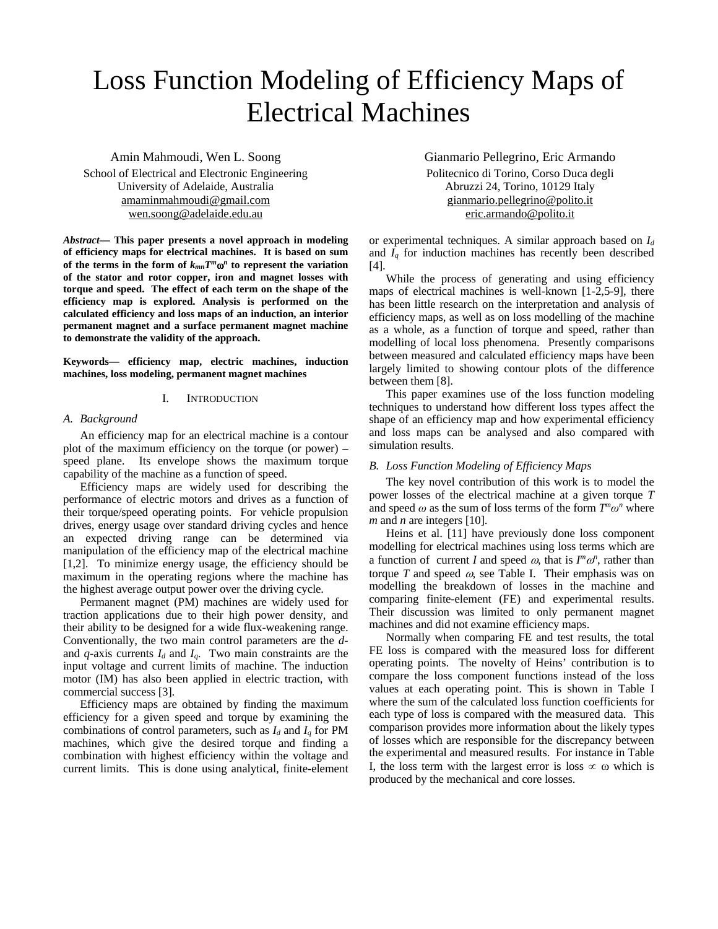# Loss Function Modeling of Efficiency Maps of Electrical Machines

Amin Mahmoudi, Wen L. Soong School of Electrical and Electronic Engineering University of Adelaide, Australia [amaminmahmoudi@gmail.com](mailto:amaminmahmoudi@gmail.com) [wen.soong@adelaide.edu.au](mailto:wen.soong@adelaide.edu.au)

*Abstract***— This paper presents a novel approach in modeling of efficiency maps for electrical machines. It is based on sum**  of the terms in the form of  $k_{mn}T^m\omega^n$  to represent the variation **of the stator and rotor copper, iron and magnet losses with torque and speed. The effect of each term on the shape of the efficiency map is explored. Analysis is performed on the calculated efficiency and loss maps of an induction, an interior permanent magnet and a surface permanent magnet machine to demonstrate the validity of the approach.**

**Keywords— efficiency map, electric machines, induction machines, loss modeling, permanent magnet machines** 

### I. INTRODUCTION

#### *A. Background*

An efficiency map for an electrical machine is a contour plot of the maximum efficiency on the torque (or power) – speed plane. Its envelope shows the maximum torque capability of the machine as a function of speed.

Efficiency maps are widely used for describing the performance of electric motors and drives as a function of their torque/speed operating points. For vehicle propulsion drives, energy usage over standard driving cycles and hence an expected driving range can be determined via manipulation of the efficiency map of the electrical machine [1,2]. To minimize energy usage, the efficiency should be maximum in the operating regions where the machine has the highest average output power over the driving cycle.

Permanent magnet (PM) machines are widely used for traction applications due to their high power density, and their ability to be designed for a wide flux-weakening range. Conventionally, the two main control parameters are the *d*and  $q$ -axis currents  $I_d$  and  $I_q$ . Two main constraints are the input voltage and current limits of machine. The induction motor (IM) has also been applied in electric traction, with commercial success [3].

Efficiency maps are obtained by finding the maximum efficiency for a given speed and torque by examining the combinations of control parameters, such as  $I_d$  and  $I_q$  for PM machines, which give the desired torque and finding a combination with highest efficiency within the voltage and current limits. This is done using analytical, finite-element Gianmario Pellegrino, Eric Armando Politecnico di Torino, Corso Duca degli Abruzzi 24, Torino, 10129 Italy [gianmario.pellegrino@polito.it](mailto:gianmario.pellegrino@polito.it) [eric.armando@polito.it](mailto:eric.armando@polito.it)

or experimental techniques. A similar approach based on *Id* and *Iq* for induction machines has recently been described [4].

While the process of generating and using efficiency maps of electrical machines is well-known [1-2,5-9], there has been little research on the interpretation and analysis of efficiency maps, as well as on loss modelling of the machine as a whole, as a function of torque and speed, rather than modelling of local loss phenomena. Presently comparisons between measured and calculated efficiency maps have been largely limited to showing contour plots of the difference between them [8].

This paper examines use of the loss function modeling techniques to understand how different loss types affect the shape of an efficiency map and how experimental efficiency and loss maps can be analysed and also compared with simulation results.

# *B. Loss Function Modeling of Efficiency Maps*

The key novel contribution of this work is to model the power losses of the electrical machine at a given torque *T* and speed  $\omega$  as the sum of loss terms of the form  $T^n\omega^n$  where *m* and *n* are integers [10].

Heins et al. [11] have previously done loss component modelling for electrical machines using loss terms which are a function of current *I* and speed  $\omega$ , that is  $I^m \omega^n$ , rather than torque  $T$  and speed  $\omega$ , see Table I. Their emphasis was on modelling the breakdown of losses in the machine and comparing finite-element (FE) and experimental results. Their discussion was limited to only permanent magnet machines and did not examine efficiency maps.

Normally when comparing FE and test results, the total FE loss is compared with the measured loss for different operating points. The novelty of Heins' contribution is to compare the loss component functions instead of the loss values at each operating point. This is shown in Table I where the sum of the calculated loss function coefficients for each type of loss is compared with the measured data. This comparison provides more information about the likely types of losses which are responsible for the discrepancy between the experimental and measured results. For instance in Table I, the loss term with the largest error is loss  $\infty$  ω which is produced by the mechanical and core losses.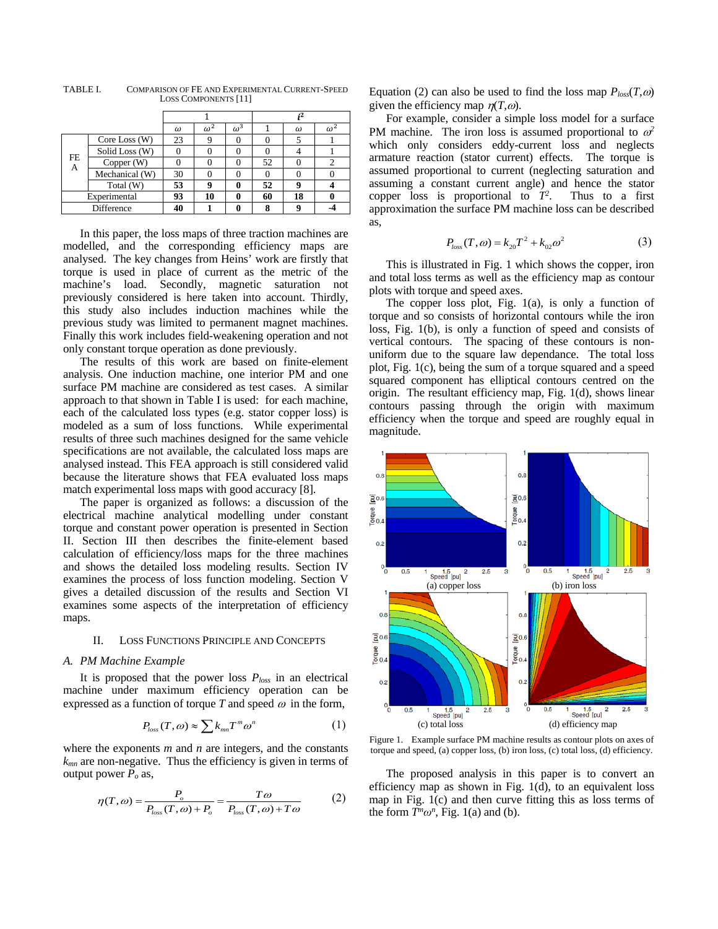|                    |                 |    |            | ,2         |    |    |            |
|--------------------|-----------------|----|------------|------------|----|----|------------|
|                    |                 |    |            |            |    |    |            |
|                    |                 | ω  | $\omega^2$ | $\omega^3$ |    | ω  | $\omega^2$ |
| FE<br>$\mathbf{A}$ | Core Loss $(W)$ | 23 | 9          |            |    |    |            |
|                    | Solid Loss (W)  |    |            |            |    |    |            |
|                    | Copper(W)       |    |            |            | 52 |    | 2          |
|                    | Mechanical (W)  | 30 |            |            |    |    |            |
|                    | Total (W)       | 53 | o          |            | 52 |    |            |
| Experimental       |                 | 93 | 10         |            | 60 | 18 |            |
|                    | Difference      |    |            |            |    |    |            |

TABLE I. COMPARISON OF FE AND EXPERIMENTAL CURRENT-SPEED LOSS COMPONENTS [11]

In this paper, the loss maps of three traction machines are modelled, and the corresponding efficiency maps are analysed. The key changes from Heins' work are firstly that torque is used in place of current as the metric of the machine's load. Secondly, magnetic saturation not previously considered is here taken into account. Thirdly, this study also includes induction machines while the previous study was limited to permanent magnet machines. Finally this work includes field-weakening operation and not only constant torque operation as done previously.

The results of this work are based on finite-element analysis. One induction machine, one interior PM and one surface PM machine are considered as test cases. A similar approach to that shown in Table I is used: for each machine, each of the calculated loss types (e.g. stator copper loss) is modeled as a sum of loss functions. While experimental results of three such machines designed for the same vehicle specifications are not available, the calculated loss maps are analysed instead. This FEA approach is still considered valid because the literature shows that FEA evaluated loss maps match experimental loss maps with good accuracy [8].

The paper is organized as follows: a discussion of the electrical machine analytical modelling under constant torque and constant power operation is presented in Section II. Section III then describes the finite-element based calculation of efficiency/loss maps for the three machines and shows the detailed loss modeling results. Section IV examines the process of loss function modeling. Section V gives a detailed discussion of the results and Section VI examines some aspects of the interpretation of efficiency maps.

#### II. LOSS FUNCTIONS PRINCIPLE AND CONCEPTS

#### *A. PM Machine Example*

It is proposed that the power loss  $P_{loss}$  in an electrical machine under maximum efficiency operation can be expressed as a function of torque  $T$  and speed  $\omega$  in the form,

$$
P_{loss}(T,\omega) \approx \sum k_{mn} T^m \omega^n \tag{1}
$$

where the exponents *m* and *n* are integers, and the constants *kmn* are non-negative. Thus the efficiency is given in terms of output power  $P_0$  as,

$$
\eta(T,\omega) = \frac{P_o}{P_{loss}(T,\omega) + P_o} = \frac{T\omega}{P_{loss}(T,\omega) + T\omega} \tag{2}
$$

Equation (2) can also be used to find the loss map  $P_{loss}(T,\omega)$ given the efficiency map  $n(T, \omega)$ .

For example, consider a simple loss model for a surface PM machine. The iron loss is assumed proportional to  $\omega^2$ which only considers eddy-current loss and neglects armature reaction (stator current) effects. The torque is assumed proportional to current (neglecting saturation and assuming a constant current angle) and hence the stator copper loss is proportional to  $T^2$ . Thus to a first approximation the surface PM machine loss can be described as,

$$
P_{loss}(T,\omega) = k_{20}T^2 + k_{02}\omega^2
$$
 (3)

This is illustrated in Fig. 1 which shows the copper, iron and total loss terms as well as the efficiency map as contour plots with torque and speed axes.

The copper loss plot, Fig.  $1(a)$ , is only a function of torque and so consists of horizontal contours while the iron loss, Fig. 1(b), is only a function of speed and consists of vertical contours. The spacing of these contours is nonuniform due to the square law dependance. The total loss plot, Fig. 1(c), being the sum of a torque squared and a speed squared component has elliptical contours centred on the origin. The resultant efficiency map, Fig. 1(d), shows linear contours passing through the origin with maximum efficiency when the torque and speed are roughly equal in magnitude.



Figure 1. Example surface PM machine results as contour plots on axes of torque and speed, (a) copper loss, (b) iron loss, (c) total loss, (d) efficiency.

The proposed analysis in this paper is to convert an efficiency map as shown in Fig. 1(d), to an equivalent loss map in Fig. 1(c) and then curve fitting this as loss terms of the form  $T^n\omega^n$ , Fig. 1(a) and (b).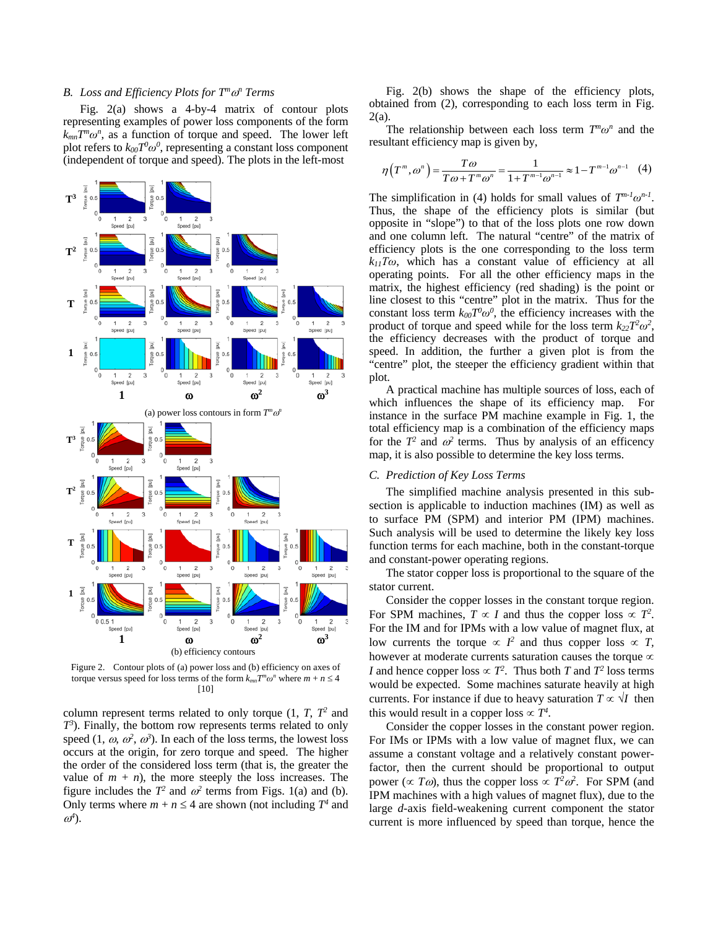#### *B. Loss and Efficiency Plots for Tm*ω*<sup>n</sup> Terms*

Fig. 2(a) shows a 4-by-4 matrix of contour plots representing examples of power loss components of the form *kmnTmω<sup>n</sup>* , as a function of torque and speed. The lower left plot refers to  $k_{00}T^0\omega^0$ , representing a constant loss component (independent of torque and speed). The plots in the left-most



Figure 2. Contour plots of (a) power loss and (b) efficiency on axes of torque versus speed for loss terms of the form  $k_{mn}T^m\omega^n$  where  $m + n \leq 4$ [10]

column represent terms related to only torque  $(1, T, T^2)$  and *T3* ). Finally, the bottom row represents terms related to only speed  $(1, \omega, \omega^2, \omega^3)$ . In each of the loss terms, the lowest loss occurs at the origin, for zero torque and speed. The higher the order of the considered loss term (that is, the greater the value of  $m + n$ , the more steeply the loss increases. The figure includes the  $T^2$  and  $\omega^2$  terms from Figs. 1(a) and (b). Only terms where  $m + n \leq 4$  are shown (not including  $T^4$  and <sup>ω</sup>*4* ).

Fig. 2(b) shows the shape of the efficiency plots, obtained from (2), corresponding to each loss term in Fig. 2(a).

The relationship between each loss term  $T^n\omega^n$  and the resultant efficiency map is given by,

$$
\eta(T^m, \omega^n) = \frac{T\omega}{T\omega + T^m \omega^n} = \frac{1}{1 + T^{m-1} \omega^{n-1}} \approx 1 - T^{m-1} \omega^{n-1}
$$
 (4)

The simplification in (4) holds for small values of  $T^{m-l}\omega^{n-l}$ . Thus, the shape of the efficiency plots is similar (but opposite in "slope") to that of the loss plots one row down and one column left. The natural "centre" of the matrix of efficiency plots is the one corresponding to the loss term *k11Tω*, which has a constant value of efficiency at all operating points. For all the other efficiency maps in the matrix, the highest efficiency (red shading) is the point or line closest to this "centre" plot in the matrix. Thus for the constant loss term  $k_{00}T^0\omega^0$ , the efficiency increases with the product of torque and speed while for the loss term  $k_{22}T^2\omega^2$ , the efficiency decreases with the product of torque and speed. In addition, the further a given plot is from the "centre" plot, the steeper the efficiency gradient within that plot.

A practical machine has multiple sources of loss, each of which influences the shape of its efficiency map. For instance in the surface PM machine example in Fig. 1, the total efficiency map is a combination of the efficiency maps for the  $T^2$  and  $\omega^2$  terms. Thus by analysis of an efficency map, it is also possible to determine the key loss terms.

#### *C. Prediction of Key Loss Terms*

The simplified machine analysis presented in this subsection is applicable to induction machines (IM) as well as to surface PM (SPM) and interior PM (IPM) machines. Such analysis will be used to determine the likely key loss function terms for each machine, both in the constant-torque and constant-power operating regions.

The stator copper loss is proportional to the square of the stator current.

Consider the copper losses in the constant torque region. For SPM machines,  $T \propto I$  and thus the copper loss  $\propto T^2$ . For the IM and for IPMs with a low value of magnet flux, at low currents the torque  $\propto$   $I^2$  and thus copper loss  $\propto$  *T*, however at moderate currents saturation causes the torque  $\infty$ *I* and hence copper loss  $\propto T^2$ . Thus both *T* and  $T^2$  loss terms would be expected. Some machines saturate heavily at high currents. For instance if due to heavy saturation  $T \propto \sqrt{I}$  then this would result in a copper loss  $\propto T^4$ .

Consider the copper losses in the constant power region. For IMs or IPMs with a low value of magnet flux, we can assume a constant voltage and a relatively constant powerfactor, then the current should be proportional to output power ( $\propto T\omega$ ), thus the copper loss  $\propto T^2\omega^2$ . For SPM (and IPM machines with a high values of magnet flux), due to the large *d*-axis field-weakening current component the stator current is more influenced by speed than torque, hence the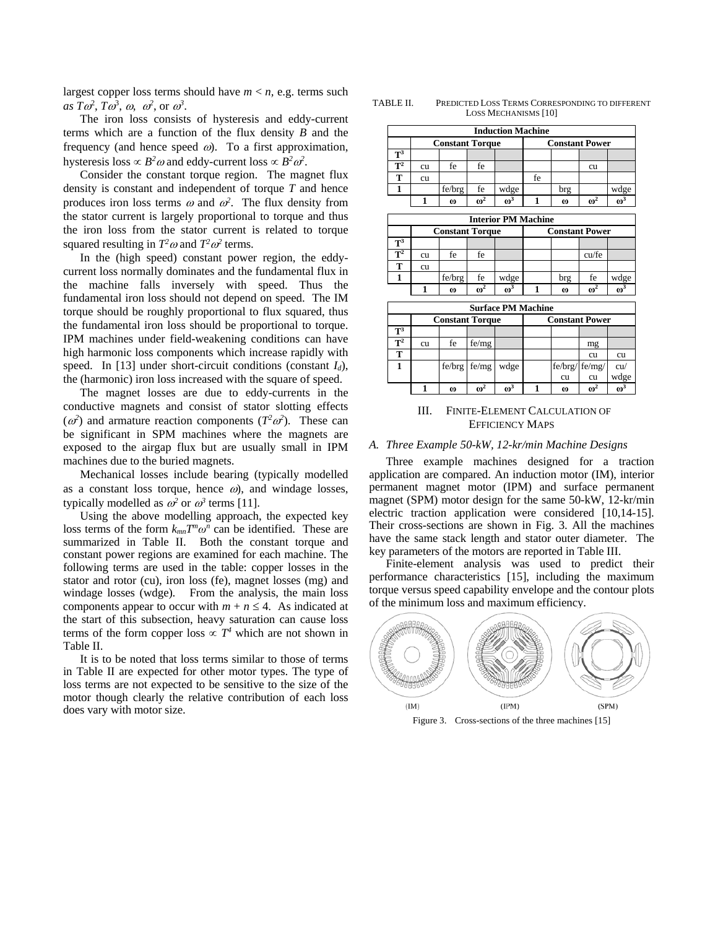largest copper loss terms should have  $m < n$ , e.g. terms such  $as \, T\omega^2, \, T\omega^3, \, \omega, \, \omega^2, \, \text{or} \, \omega^3.$ 

The iron loss consists of hysteresis and eddy-current terms which are a function of the flux density *B* and the frequency (and hence speed  $\omega$ ). To a first approximation, hysteresis loss  $\propto B^2 \omega$  and eddy-current loss  $\propto B^2 \omega^2$ .

Consider the constant torque region. The magnet flux density is constant and independent of torque *T* and hence produces iron loss terms  $\omega$  and  $\omega^2$ . The flux density from the stator current is largely proportional to torque and thus the iron loss from the stator current is related to torque squared resulting in  $T^2\omega$  and  $T^2\omega^2$  terms.

In the (high speed) constant power region, the eddycurrent loss normally dominates and the fundamental flux in the machine falls inversely with speed. Thus the fundamental iron loss should not depend on speed. The IM torque should be roughly proportional to flux squared, thus the fundamental iron loss should be proportional to torque. IPM machines under field-weakening conditions can have high harmonic loss components which increase rapidly with speed. In [13] under short-circuit conditions (constant  $I_d$ ), the (harmonic) iron loss increased with the square of speed.

The magnet losses are due to eddy-currents in the conductive magnets and consist of stator slotting effects  $(\omega^2)$  and armature reaction components  $(T^2 \omega^2)$ . These can be significant in SPM machines where the magnets are exposed to the airgap flux but are usually small in IPM machines due to the buried magnets.

Mechanical losses include bearing (typically modelled as a constant loss torque, hence  $\omega$ ), and windage losses, typically modelled as  $\omega^2$  or  $\omega^3$  terms [11].

Using the above modelling approach, the expected key loss terms of the form  $k_{mn}T^m\omega^n$  can be identified. These are summarized in Table II. Both the constant torque and constant power regions are examined for each machine. The following terms are used in the table: copper losses in the stator and rotor (cu), iron loss (fe), magnet losses (mg) and windage losses (wdge). From the analysis, the main loss components appear to occur with  $m + n \leq 4$ . As indicated at the start of this subsection, heavy saturation can cause loss terms of the form copper loss  $\propto T^4$  which are not shown in Table II.

It is to be noted that loss terms similar to those of terms in Table II are expected for other motor types. The type of loss terms are not expected to be sensitive to the size of the motor though clearly the relative contribution of each loss does vary with motor size.

TABLE II. PREDICTED LOSS TERMS CORRESPONDING TO DIFFERENT LOSS MECHANISMS [10]

| <b>Induction Machine</b>  |                            |          |            |                           |                       |          |            |            |
|---------------------------|----------------------------|----------|------------|---------------------------|-----------------------|----------|------------|------------|
|                           | <b>Constant Torque</b>     |          |            | <b>Constant Power</b>     |                       |          |            |            |
| $T^3$                     |                            |          |            |                           |                       |          |            |            |
| $\mathbf{T}^2$            | cu                         | fe       | fe         |                           |                       |          | cu         |            |
| T                         | cu                         |          |            |                           | fe                    |          |            |            |
| 1                         |                            | fe/brg   | fe         | wdge                      |                       | brg      |            | wdge       |
|                           | 1                          | $\omega$ | $\omega^2$ | $\omega^3$                | $\mathbf{1}$          | $\omega$ | $\omega^2$ | $\omega^3$ |
|                           | <b>Interior PM Machine</b> |          |            |                           |                       |          |            |            |
| <b>Constant Torque</b>    |                            |          |            |                           |                       |          |            |            |
|                           |                            |          |            |                           | <b>Constant Power</b> |          |            |            |
| $\overline{T^3}$          |                            |          |            |                           |                       |          |            |            |
| $T^2$                     | cu                         | fe       | fe         |                           |                       |          | cu/fe      |            |
| T                         | <b>CU</b>                  |          |            |                           |                       |          |            |            |
| 1                         |                            | fe/brg   | fe         | wdge                      |                       | brg      | fe         | wdge       |
|                           | $\mathbf{1}$               | $\omega$ | $\omega^2$ | $\omega^3$                | 1                     | $\omega$ | $\omega^2$ | $\omega^3$ |
|                           |                            |          |            | <b>Surface PM Machine</b> |                       |          |            |            |
|                           | <b>Constant Torque</b>     |          |            | <b>Constant Power</b>     |                       |          |            |            |
| $\overline{\mathbf{T}^3}$ |                            |          |            |                           |                       |          |            |            |
| $\mathbf{T}^2$            | cu                         | fe       | fe/mg      |                           |                       |          | mg         |            |
| т                         |                            |          |            |                           |                       |          | cu         | cu         |
| 1                         |                            | fe/brg   | fe/mg      | wdge                      |                       | fe/brg/  | fe/mg/     | cu/        |
|                           |                            |          |            |                           |                       | cu       | cu         | wdge       |

III. FINITE-ELEMENT CALCULATION OF EFFICIENCY MAPS

**1**  $\omega$  **i**  $\omega$ <sup>2</sup>  $\omega$ <sup>3</sup> **i** 1  $\omega$  **i**  $\omega$ <sup>2</sup>  $\omega$ <sup>3</sup>

#### *A. Three Example 50-kW, 12-kr/min Machine Designs*

Three example machines designed for a traction application are compared. An induction motor (IM), interior permanent magnet motor (IPM) and surface permanent magnet (SPM) motor design for the same 50-kW, 12-kr/min electric traction application were considered [10,14-15]. Their cross-sections are shown in Fig. 3. All the machines have the same stack length and stator outer diameter. The key parameters of the motors are reported in Table III.

Finite-element analysis was used to predict their performance characteristics [15], including the maximum torque versus speed capability envelope and the contour plots of the minimum loss and maximum efficiency.



Figure 3. Cross-sections of the three machines [15]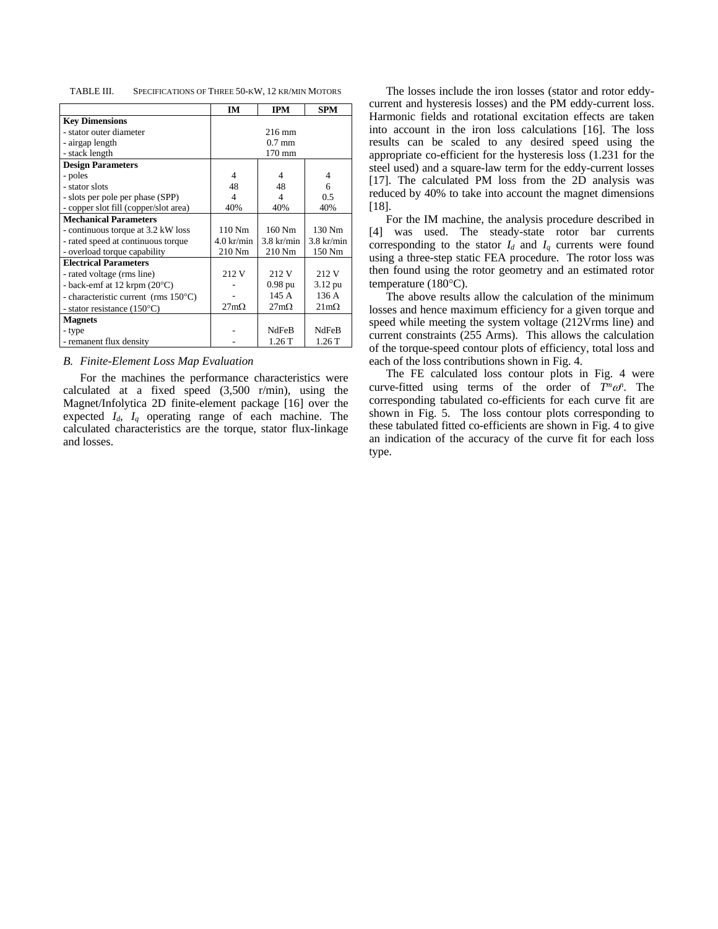| TABLE III. | SPECIFICATIONS OF THREE 50-KW, 12 KR/MIN MOTORS |  |  |  |
|------------|-------------------------------------------------|--|--|--|
|------------|-------------------------------------------------|--|--|--|

|                                         | <b>IM</b>            | <b>IPM</b>       | <b>SPM</b>          |
|-----------------------------------------|----------------------|------------------|---------------------|
| <b>Key Dimensions</b>                   |                      |                  |                     |
| - stator outer diameter                 |                      | $216 \text{ mm}$ |                     |
| - airgap length                         |                      | $0.7$ mm         |                     |
| - stack length                          |                      | $170 \text{ mm}$ |                     |
| <b>Design Parameters</b>                |                      |                  |                     |
| - poles                                 | 4                    | 4                | 4                   |
| - stator slots                          | 48                   | 48               | 6                   |
| - slots per pole per phase (SPP)        | 4                    | 4                | 0.5                 |
| - copper slot fill (copper/slot area)   | 40%                  | 40%              | 40%                 |
| <b>Mechanical Parameters</b>            |                      |                  |                     |
| - continuous torque at 3.2 kW loss      | $110$ Nm             | 160 Nm           | 130 Nm              |
| - rated speed at continuous torque      | $4.0 \text{ kr/min}$ | $3.8$ kr/min     | $3.8$ kr/min        |
| - overload torque capability            | 210 Nm               | 210 Nm           | 150 Nm              |
| <b>Electrical Parameters</b>            |                      |                  |                     |
| - rated voltage (rms line)              | 212 V                | 212 V            | 212 V               |
| - back-emf at $12$ krpm $(20^{\circ}C)$ |                      | $0.98$ pu        | $3.12 \text{ pu}$   |
| - characteristic current (rms 150°C)    |                      | 145 A            | 136A                |
| - stator resistance $(150^{\circ}C)$    | $27m\Omega$          | $27m\Omega$      | $21 \text{m}\Omega$ |
| <b>Magnets</b>                          |                      |                  |                     |
| - type                                  |                      | <b>NdFeB</b>     | <b>NdFeB</b>        |
| - remanent flux density                 |                      | 1.26T            | 1.26T               |

#### *B. Finite-Element Loss Map Evaluation*

For the machines the performance characteristics were calculated at a fixed speed (3,500 r/min), using the Magnet/Infolytica 2D finite-element package [16] over the expected *Id*, *Iq* operating range of each machine. The calculated characteristics are the torque, stator flux-linkage and losses.

The losses include the iron losses (stator and rotor eddycurrent and hysteresis losses) and the PM eddy-current loss. Harmonic fields and rotational excitation effects are taken into account in the iron loss calculations [16]. The loss results can be scaled to any desired speed using the appropriate co-efficient for the hysteresis loss (1.231 for the steel used) and a square-law term for the eddy-current losses [17]. The calculated PM loss from the 2D analysis was reduced by 40% to take into account the magnet dimensions [18].

For the IM machine, the analysis procedure described in [4] was used. The steady-state rotor bar currents corresponding to the stator  $I_d$  and  $I_q$  currents were found using a three-step static FEA procedure. The rotor loss was then found using the rotor geometry and an estimated rotor temperature (180°C).

The above results allow the calculation of the minimum losses and hence maximum efficiency for a given torque and speed while meeting the system voltage (212Vrms line) and current constraints (255 Arms). This allows the calculation of the torque-speed contour plots of efficiency, total loss and each of the loss contributions shown in Fig. 4.

The FE calculated loss contour plots in Fig. 4 were curve-fitted using terms of the order of  $T^m \omega^n$ . The corresponding tabulated co-efficients for each curve fit are shown in Fig. 5. The loss contour plots corresponding to these tabulated fitted co-efficients are shown in Fig. 4 to give an indication of the accuracy of the curve fit for each loss type.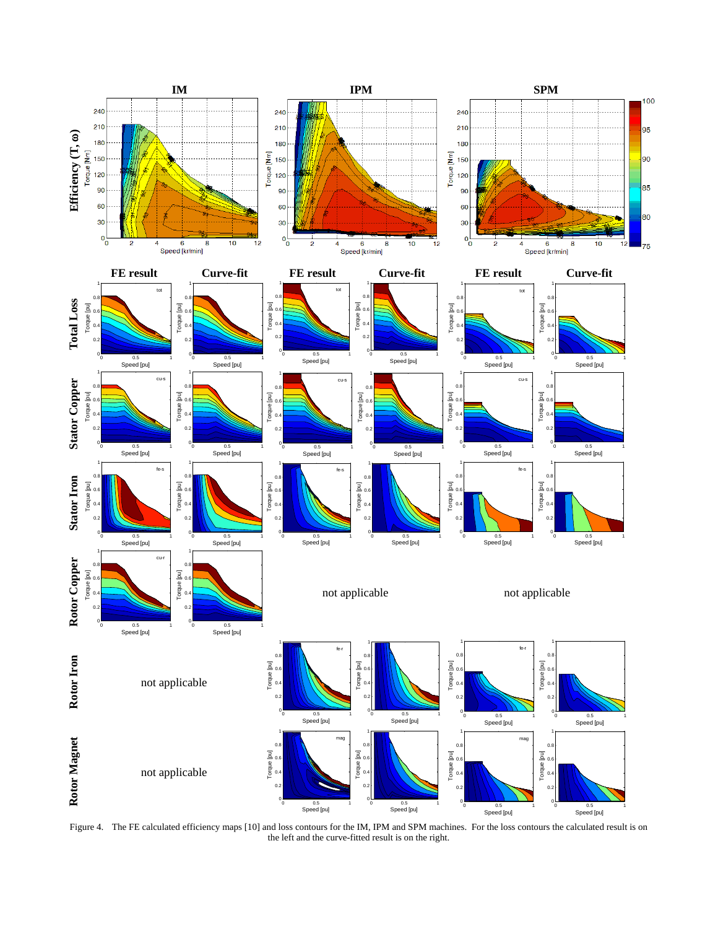

Figure 4. The FE calculated efficiency maps [10] and loss contours for the IM, IPM and SPM machines. For the loss contours the calculated result is on the left and the curve-fitted result is on the right.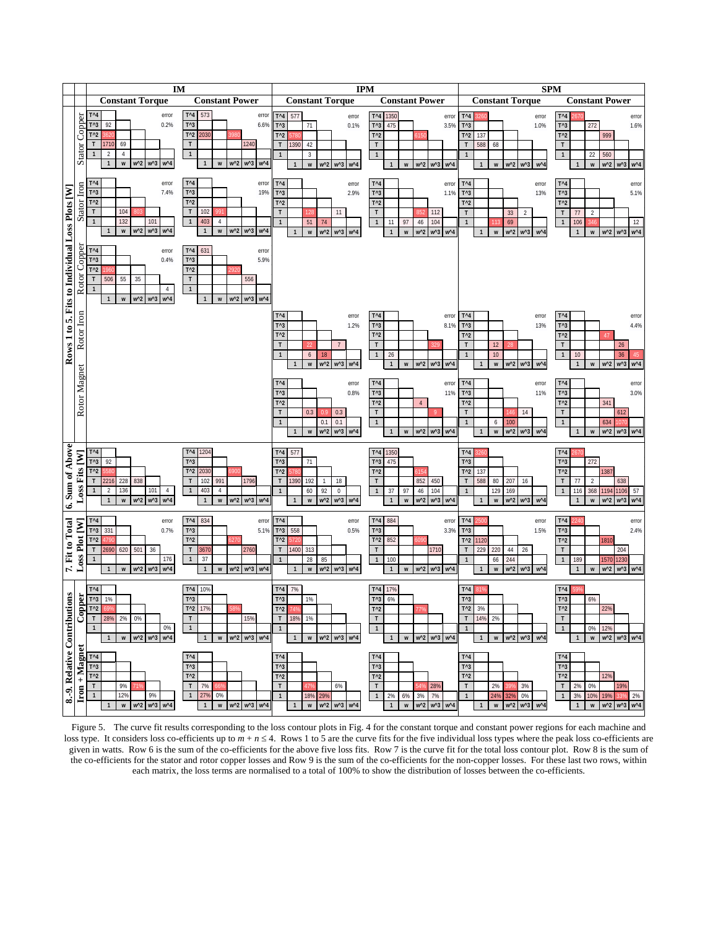

Figure 5. The curve fit results corresponding to the loss contour plots in Fig. 4 for the constant torque and constant power regions for each machine and loss type. It considers loss co-efficients up to  $m + n \le 4$ . Rows 1 to 5 are the curve fits for the five individual loss types where the peak loss co-efficients are given in watts. Row 6 is the sum of the co-efficients for the above five loss fits. Row 7 is the curve fit for the total loss contour plot. Row 8 is the sum of the co-efficients for the stator and rotor copper losses and Row 9 is the sum of the co-efficients for the non-copper losses. For these last two rows, within each matrix, the loss terms are normalised to a total of 100% to show the distribution of losses between the co-efficients.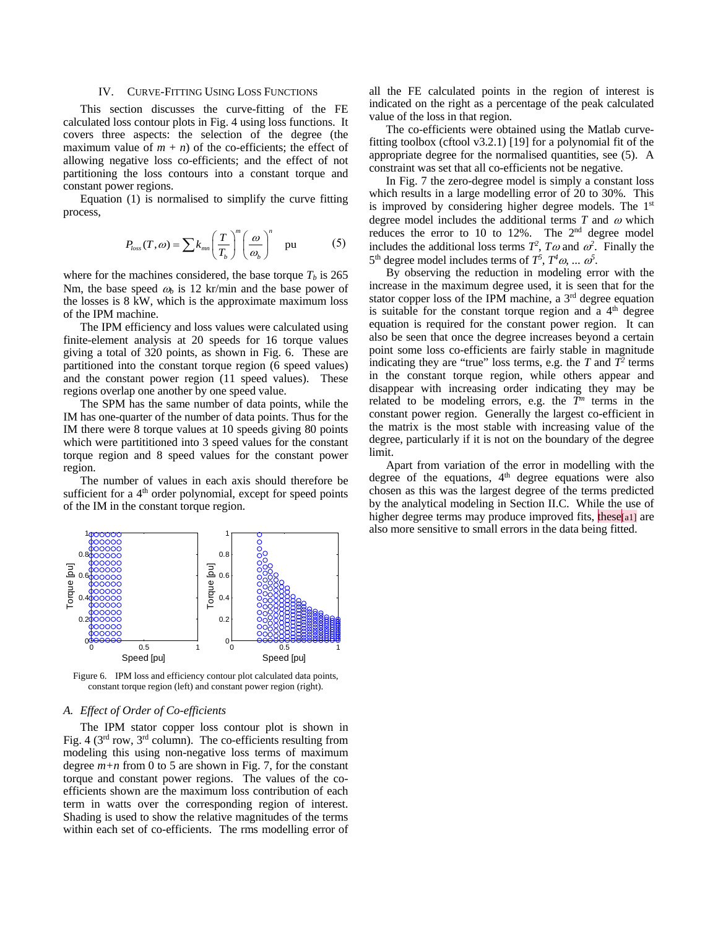### IV. CURVE-FITTING USING LOSS FUNCTIONS

This section discusses the curve-fitting of the FE calculated loss contour plots in Fig. 4 using loss functions. It covers three aspects: the selection of the degree (the maximum value of  $m + n$ ) of the co-efficients; the effect of allowing negative loss co-efficients; and the effect of not partitioning the loss contours into a constant torque and constant power regions.

Equation (1) is normalised to simplify the curve fitting process,

$$
P_{loss}(T,\omega) = \sum k_{mn} \left(\frac{T}{T_b}\right)^m \left(\frac{\omega}{\omega_b}\right)^n \quad \text{pu} \tag{5}
$$

where for the machines considered, the base torque  $T<sub>b</sub>$  is 265 Nm, the base speed  $\omega_b$  is 12 kr/min and the base power of the losses is 8 kW, which is the approximate maximum loss of the IPM machine.

The IPM efficiency and loss values were calculated using finite-element analysis at 20 speeds for 16 torque values giving a total of 320 points, as shown in Fig. 6. These are partitioned into the constant torque region (6 speed values) and the constant power region (11 speed values). These regions overlap one another by one speed value.

The SPM has the same number of data points, while the IM has one-quarter of the number of data points. Thus for the IM there were 8 torque values at 10 speeds giving 80 points which were partititioned into 3 speed values for the constant torque region and 8 speed values for the constant power region.

The number of values in each axis should therefore be sufficient for a 4<sup>th</sup> order polynomial, except for speed points of the IM in the constant torque region.



Figure 6. IPM loss and efficiency contour plot calculated data points, constant torque region (left) and constant power region (right).

#### *A. Effect of Order of Co-efficients*

The IPM stator copper loss contour plot is shown in Fig. 4 ( $3<sup>rd</sup>$  row,  $3<sup>rd</sup>$  column). The co-efficients resulting from modeling this using non-negative loss terms of maximum degree  $m+n$  from 0 to 5 are shown in Fig. 7, for the constant torque and constant power regions. The values of the coefficients shown are the maximum loss contribution of each term in watts over the corresponding region of interest. Shading is used to show the relative magnitudes of the terms within each set of co-efficients. The rms modelling error of all the FE calculated points in the region of interest is indicated on the right as a percentage of the peak calculated value of the loss in that region.

The co-efficients were obtained using the Matlab curvefitting toolbox (cftool v3.2.1) [19] for a polynomial fit of the appropriate degree for the normalised quantities, see (5). A constraint was set that all co-efficients not be negative.

In Fig. 7 the zero-degree model is simply a constant loss which results in a large modelling error of 20 to 30%. This is improved by considering higher degree models. The 1<sup>st</sup> degree model includes the additional terms  $T$  and  $\omega$  which reduces the error to 10 to 12%. The 2nd degree model includes the additional loss terms  $T^2$ ,  $T\omega$  and  $\omega^2$ . Finally the  $5<sup>th</sup>$  degree model includes terms of  $T<sup>5</sup>$ ,  $T<sup>4</sup> \omega$ , ...  $\omega<sup>5</sup>$ .

By observing the reduction in modeling error with the increase in the maximum degree used, it is seen that for the stator copper loss of the IPM machine, a  $3<sup>rd</sup>$  degree equation is suitable for the constant torque region and  $a$  4<sup>th</sup> degree equation is required for the constant power region. It can also be seen that once the degree increases beyond a certain point some loss co-efficients are fairly stable in magnitude indicating they are "true" loss terms, e.g. the  $T$  and  $T^2$  terms in the constant torque region, while others appear and disappear with increasing order indicating they may be related to be modeling errors, e.g. the  $\overline{T}^m$  terms in the constant power region. Generally the largest co-efficient in the matrix is the most stable with increasing value of the degree, particularly if it is not on the boundary of the degree limit.

Apart from variation of the error in modelling with the degree of the equations, 4<sup>th</sup> degree equations were also chosen as this was the largest degree of the terms predicted by the analytical modeling in Section II.C. While the use of higher degree terms may produce improved fits, these[a1] are also more sensitive to small errors in the data being fitted.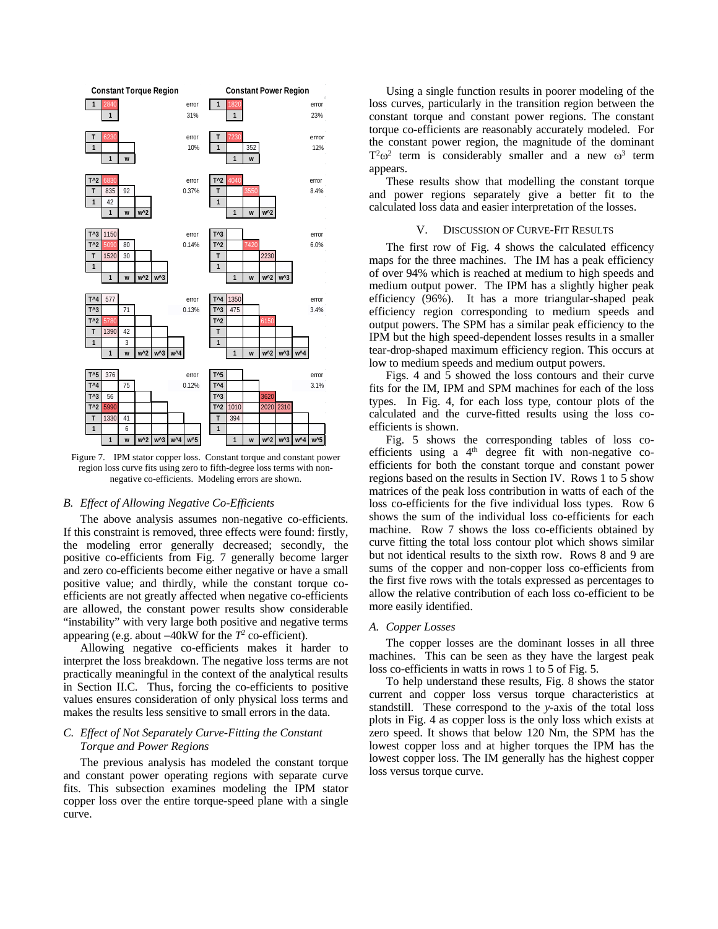

Figure 7. IPM stator copper loss. Constant torque and constant power region loss curve fits using zero to fifth-degree loss terms with nonnegative co-efficients. Modeling errors are shown.

#### *B. Effect of Allowing Negative Co-Efficients*

The above analysis assumes non-negative co-efficients. If this constraint is removed, three effects were found: firstly, the modeling error generally decreased; secondly, the positive co-efficients from Fig. 7 generally become larger and zero co-efficients become either negative or have a small positive value; and thirdly, while the constant torque coefficients are not greatly affected when negative co-efficients are allowed, the constant power results show considerable "instability" with very large both positive and negative terms appearing (e.g. about −40kW for the *T2* co-efficient).

Allowing negative co-efficients makes it harder to interpret the loss breakdown. The negative loss terms are not practically meaningful in the context of the analytical results in Section II.C. Thus, forcing the co-efficients to positive values ensures consideration of only physical loss terms and makes the results less sensitive to small errors in the data.

# *C. Effect of Not Separately Curve-Fitting the Constant Torque and Power Regions*

The previous analysis has modeled the constant torque and constant power operating regions with separate curve fits. This subsection examines modeling the IPM stator copper loss over the entire torque-speed plane with a single curve.

Using a single function results in poorer modeling of the loss curves, particularly in the transition region between the constant torque and constant power regions. The constant torque co-efficients are reasonably accurately modeled. For the constant power region, the magnitude of the dominant  $T^2\omega^2$  term is considerably smaller and a new  $\omega^3$  term appears.

These results show that modelling the constant torque and power regions separately give a better fit to the calculated loss data and easier interpretation of the losses.

### V. DISCUSSION OF CURVE-FIT RESULTS

The first row of Fig. 4 shows the calculated efficency maps for the three machines. The IM has a peak efficiency of over 94% which is reached at medium to high speeds and medium output power. The IPM has a slightly higher peak efficiency (96%). It has a more triangular-shaped peak efficiency region corresponding to medium speeds and output powers. The SPM has a similar peak efficiency to the IPM but the high speed-dependent losses results in a smaller tear-drop-shaped maximum efficiency region. This occurs at low to medium speeds and medium output powers.

Figs. 4 and 5 showed the loss contours and their curve fits for the IM, IPM and SPM machines for each of the loss types. In Fig. 4, for each loss type, contour plots of the calculated and the curve-fitted results using the loss coefficients is shown.

Fig. 5 shows the corresponding tables of loss coefficients using a  $4<sup>th</sup>$  degree fit with non-negative coefficients for both the constant torque and constant power regions based on the results in Section IV. Rows 1 to 5 show matrices of the peak loss contribution in watts of each of the loss co-efficients for the five individual loss types. Row 6 shows the sum of the individual loss co-efficients for each machine. Row 7 shows the loss co-efficients obtained by curve fitting the total loss contour plot which shows similar but not identical results to the sixth row. Rows 8 and 9 are sums of the copper and non-copper loss co-efficients from the first five rows with the totals expressed as percentages to allow the relative contribution of each loss co-efficient to be more easily identified.

## *A. Copper Losses*

The copper losses are the dominant losses in all three machines. This can be seen as they have the largest peak loss co-efficients in watts in rows 1 to 5 of Fig. 5.

To help understand these results, Fig. 8 shows the stator current and copper loss versus torque characteristics at standstill. These correspond to the *y*-axis of the total loss plots in Fig. 4 as copper loss is the only loss which exists at zero speed. It shows that below 120 Nm, the SPM has the lowest copper loss and at higher torques the IPM has the lowest copper loss. The IM generally has the highest copper loss versus torque curve.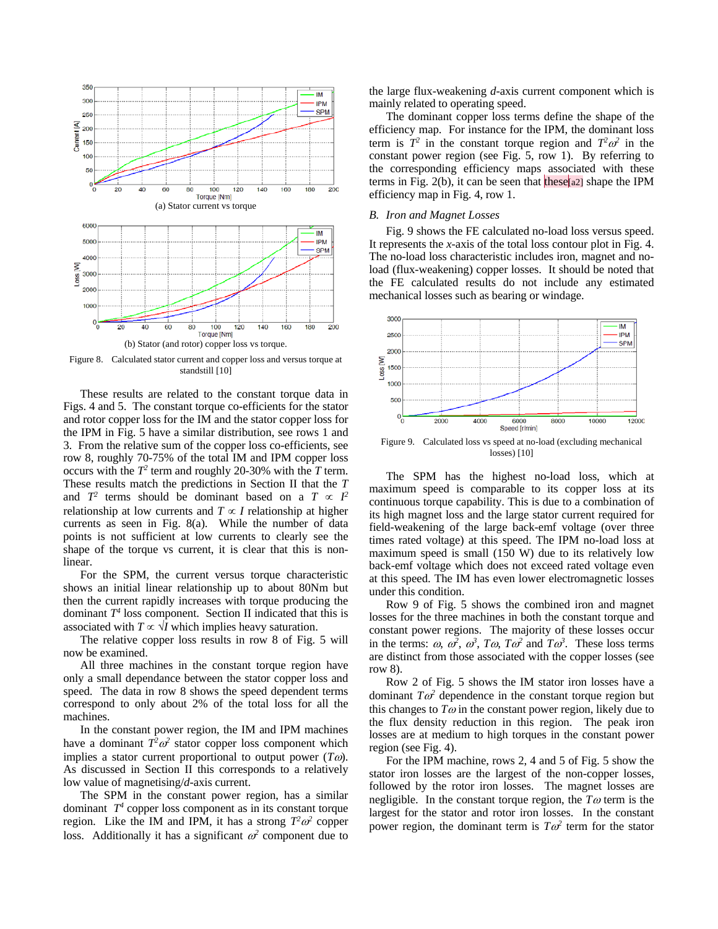

Figure 8. Calculated stator current and copper loss and versus torque at standstill [10]

These results are related to the constant torque data in Figs. 4 and 5. The constant torque co-efficients for the stator and rotor copper loss for the IM and the stator copper loss for the IPM in Fig. 5 have a similar distribution, see rows 1 and 3. From the relative sum of the copper loss co-efficients, see row 8, roughly 70-75% of the total IM and IPM copper loss occurs with the  $T^2$  term and roughly 20-30% with the *T* term. These results match the predictions in Section II that the *T* and  $T^2$  terms should be dominant based on a  $T \propto I^2$ relationship at low currents and  $T \propto I$  relationship at higher currents as seen in Fig. 8(a). While the number of data points is not sufficient at low currents to clearly see the shape of the torque vs current, it is clear that this is nonlinear.

For the SPM, the current versus torque characteristic shows an initial linear relationship up to about 80Nm but then the current rapidly increases with torque producing the dominant  $T^4$  loss component. Section II indicated that this is associated with  $T \propto \sqrt{I}$  which implies heavy saturation.

The relative copper loss results in row 8 of Fig. 5 will now be examined.

All three machines in the constant torque region have only a small dependance between the stator copper loss and speed. The data in row 8 shows the speed dependent terms correspond to only about 2% of the total loss for all the machines.

In the constant power region, the IM and IPM machines have a dominant  $T^2\omega^2$  stator copper loss component which implies a stator current proportional to output power  $(T\omega)$ . As discussed in Section II this corresponds to a relatively low value of magnetising/*d*-axis current.

The SPM in the constant power region, has a similar dominant  $T^4$  copper loss component as in its constant torque region. Like the IM and IPM, it has a strong  $T^2\omega^2$  copper loss. Additionally it has a significant  $\omega^2$  component due to

the large flux-weakening *d*-axis current component which is mainly related to operating speed.

The dominant copper loss terms define the shape of the efficiency map. For instance for the IPM, the dominant loss term is  $T^2$  in the constant torque region and  $T^2\omega^2$  in the constant power region (see Fig. 5, row 1). By referring to the corresponding efficiency maps associated with these terms in Fig. 2(b), it can be seen that these[a2] shape the IPM efficiency map in Fig. 4, row 1.

#### *B. Iron and Magnet Losses*

Fig. 9 shows the FE calculated no-load loss versus speed. It represents the *x*-axis of the total loss contour plot in Fig. 4. The no-load loss characteristic includes iron, magnet and noload (flux-weakening) copper losses. It should be noted that the FE calculated results do not include any estimated mechanical losses such as bearing or windage.



Figure 9. Calculated loss vs speed at no-load (excluding mechanical losses) [10]

The SPM has the highest no-load loss, which at maximum speed is comparable to its copper loss at its continuous torque capability. This is due to a combination of its high magnet loss and the large stator current required for field-weakening of the large back-emf voltage (over three times rated voltage) at this speed. The IPM no-load loss at maximum speed is small (150 W) due to its relatively low back-emf voltage which does not exceed rated voltage even at this speed. The IM has even lower electromagnetic losses under this condition.

Row 9 of Fig. 5 shows the combined iron and magnet losses for the three machines in both the constant torque and constant power regions. The majority of these losses occur in the terms:  $\omega$ ,  $\omega^2$ ,  $\omega^3$ ,  $T\omega$ ,  $T\omega^2$  and  $T\omega^3$ . These loss terms are distinct from those associated with the copper losses (see row 8).

Row 2 of Fig. 5 shows the IM stator iron losses have a dominant  $T\omega^2$  dependence in the constant torque region but this changes to  $T\omega$  in the constant power region, likely due to the flux density reduction in this region. The peak iron losses are at medium to high torques in the constant power region (see Fig. 4).

For the IPM machine, rows 2, 4 and 5 of Fig. 5 show the stator iron losses are the largest of the non-copper losses, followed by the rotor iron losses. The magnet losses are negligible. In the constant torque region, the *T*<sup>ω</sup> term is the largest for the stator and rotor iron losses. In the constant power region, the dominant term is  $T\omega^2$  term for the stator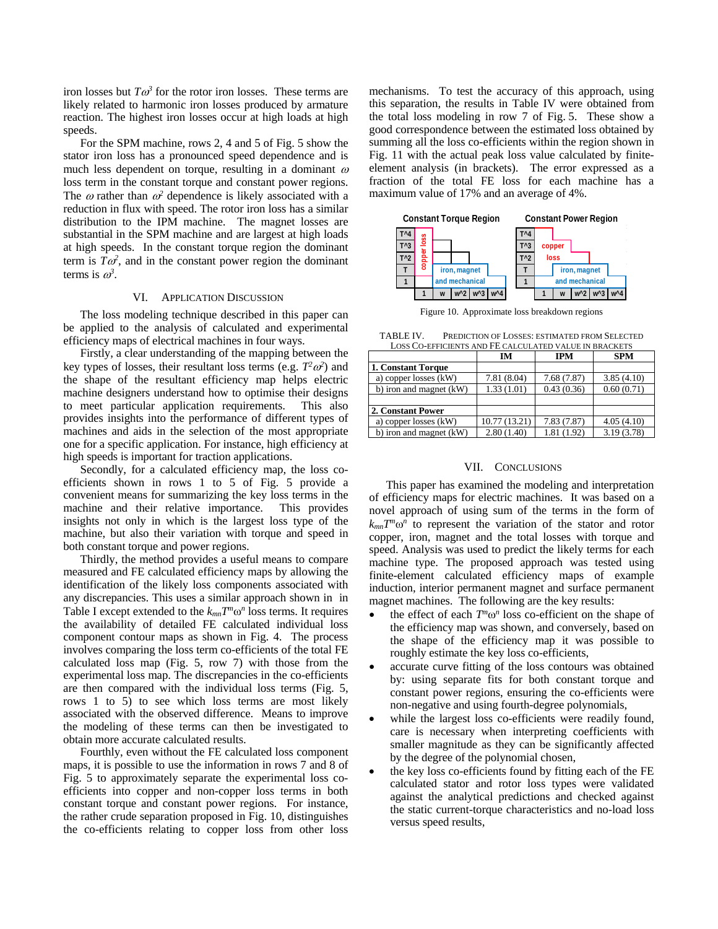iron losses but  $T\omega^3$  for the rotor iron losses. These terms are likely related to harmonic iron losses produced by armature reaction. The highest iron losses occur at high loads at high speeds.

For the SPM machine, rows 2, 4 and 5 of Fig. 5 show the stator iron loss has a pronounced speed dependence and is much less dependent on torque, resulting in a dominant  $\omega$ loss term in the constant torque and constant power regions. The  $\omega$  rather than  $\omega^2$  dependence is likely associated with a reduction in flux with speed. The rotor iron loss has a similar distribution to the IPM machine. The magnet losses are substantial in the SPM machine and are largest at high loads at high speeds. In the constant torque region the dominant term is  $T\omega^2$ , and in the constant power region the dominant terms is  $\omega^3$ .

# VI. APPLICATION DISCUSSION

The loss modeling technique described in this paper can be applied to the analysis of calculated and experimental efficiency maps of electrical machines in four ways.

Firstly, a clear understanding of the mapping between the key types of losses, their resultant loss terms (e.g.  $T^2\omega^2$ ) and the shape of the resultant efficiency map helps electric machine designers understand how to optimise their designs to meet particular application requirements. This also provides insights into the performance of different types of machines and aids in the selection of the most appropriate one for a specific application. For instance, high efficiency at high speeds is important for traction applications.

Secondly, for a calculated efficiency map, the loss coefficients shown in rows 1 to 5 of Fig. 5 provide a convenient means for summarizing the key loss terms in the machine and their relative importance. This provides insights not only in which is the largest loss type of the machine, but also their variation with torque and speed in both constant torque and power regions.

Thirdly, the method provides a useful means to compare measured and FE calculated efficiency maps by allowing the identification of the likely loss components associated with any discrepancies. This uses a similar approach shown in in Table I except extended to the  $k_{mn}T^m\omega^n$  loss terms. It requires the availability of detailed FE calculated individual loss component contour maps as shown in Fig. 4. The process involves comparing the loss term co-efficients of the total FE calculated loss map (Fig. 5, row 7) with those from the experimental loss map. The discrepancies in the co-efficients are then compared with the individual loss terms (Fig. 5, rows 1 to 5) to see which loss terms are most likely associated with the observed difference. Means to improve the modeling of these terms can then be investigated to obtain more accurate calculated results.

Fourthly, even without the FE calculated loss component maps, it is possible to use the information in rows 7 and 8 of Fig. 5 to approximately separate the experimental loss coefficients into copper and non-copper loss terms in both constant torque and constant power regions. For instance, the rather crude separation proposed in Fig. 10, distinguishes the co-efficients relating to copper loss from other loss

mechanisms. To test the accuracy of this approach, using this separation, the results in Table IV were obtained from the total loss modeling in row 7 of Fig. 5. These show a good correspondence between the estimated loss obtained by summing all the loss co-efficients within the region shown in Fig. 11 with the actual peak loss value calculated by finiteelement analysis (in brackets). The error expressed as a fraction of the total FE loss for each machine has a maximum value of 17% and an average of 4%.



Figure 10. Approximate loss breakdown regions

TABLE IV. PREDICTION OF LOSSES: ESTIMATED FROM SELECTED LOSS CO-EFFICIENTS AND FE CALCULATED VALUE IN BRACKET

| LOSS CO-EFFICIENTS AND FE CALCULATED VALUE IN BRACKETS |               |             |            |  |  |  |
|--------------------------------------------------------|---------------|-------------|------------|--|--|--|
|                                                        | IM            | <b>IPM</b>  | <b>SPM</b> |  |  |  |
| 1. Constant Torque                                     |               |             |            |  |  |  |
| a) copper losses (kW)                                  | 7.81 (8.04)   | 7.68 (7.87) | 3.85(4.10) |  |  |  |
| b) iron and magnet (kW)                                | 1.33(1.01)    | 0.43(0.36)  | 0.60(0.71) |  |  |  |
|                                                        |               |             |            |  |  |  |
| 2. Constant Power                                      |               |             |            |  |  |  |
| a) copper losses (kW)                                  | 10.77 (13.21) | 7.83(7.87)  | 4.05(4.10) |  |  |  |
| b) iron and magnet (kW)                                | 2.80(1.40)    | 1.81 (1.92) | 3.19(3.78) |  |  |  |

#### VII. CONCLUSIONS

This paper has examined the modeling and interpretation of efficiency maps for electric machines. It was based on a novel approach of using sum of the terms in the form of  $k_{mn}T^m\omega^n$  to represent the variation of the stator and rotor copper, iron, magnet and the total losses with torque and speed. Analysis was used to predict the likely terms for each machine type. The proposed approach was tested using finite-element calculated efficiency maps of example induction, interior permanent magnet and surface permanent magnet machines. The following are the key results:

- the effect of each  $T^m \omega^n$  loss co-efficient on the shape of the efficiency map was shown, and conversely, based on the shape of the efficiency map it was possible to roughly estimate the key loss co-efficients,
- accurate curve fitting of the loss contours was obtained by: using separate fits for both constant torque and constant power regions, ensuring the co-efficients were non-negative and using fourth-degree polynomials,
- while the largest loss co-efficients were readily found, care is necessary when interpreting coefficients with smaller magnitude as they can be significantly affected by the degree of the polynomial chosen,
- the key loss co-efficients found by fitting each of the FE calculated stator and rotor loss types were validated against the analytical predictions and checked against the static current-torque characteristics and no-load loss versus speed results,